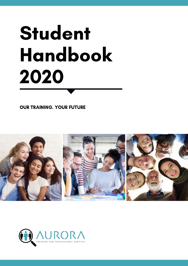# Student Handbook 2020

OUR TRAINING. YOUR FUTURE



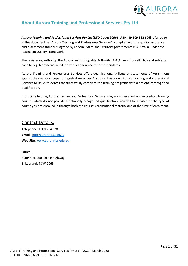

# <span id="page-1-0"></span>**About Aurora Training and Professional Services Pty Ltd**

*Aurora Training and Professional Services Pty Ltd* **(RTO Code: 90966; ABN: 39 109 662 606)**referred to in this document as "**Aurora Training and Professional Services**", complies with the quality assurance and assessment standards agreed by Federal, State and Territory governments in Australia, under the Australian Quality Framework.

The registering authority, the Australian Skills Quality Authority (ASQA), monitors all RTOs and subjects each to regular external audits to verify adherence to these standards.

Aurora Training and Professional Services offers qualifications, skillsets or Statements of Attainment against their various scopes of registration across Australia. This allows Aurora Training and Professional Services to issue Students that successfully complete the training programs with a nationally recognised qualification.

From time to time, Aurora Training and Professional Services may also offer short non-accredited training courses which do not provide a nationally recognised qualification. You will be advised of the type of course you are enrolled in through both the course's promotional material and at the time of enrolment.

# Contact Details:

**Telephone:** 1300 764 828 **Email:** [info@auroratps.edu.au](mailto:info@worksavvy.edu.au) **Web Site:** [www.auroratps.edu.au](http://www.worksavvy.edu.au/)

**Office:** Suite 504, 460 Pacific Highway St Leonards NSW 2065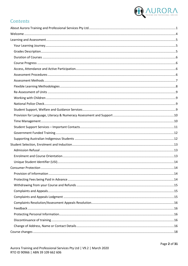

# Contents

| 14 |
|----|
|    |
|    |
|    |
|    |
|    |
|    |
|    |
|    |
|    |
|    |
|    |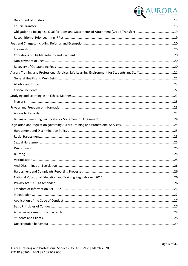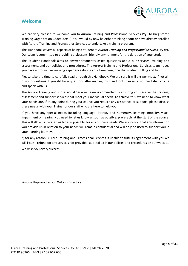

# <span id="page-4-0"></span>**Welcome**

We are very pleased to welcome you to Aurora Training and Professional Services Pty Ltd (Registered Training Organisation Code: 90940). You would by now be either thinking about or have already enrolled with Aurora Training and Professional Services to undertake a training program.

This Handbook covers all aspects of being a Student at *Aurora Training and Professional Services Pty Ltd.* Our team is committed to providing a pleasant, friendly environment for the duration of your study.

This Student Handbook aims to answer frequently asked questions about our services, training and assessment, and our policies and procedures. The Aurora Training and Professional Services team hopes you have a productive learning experience during your time here, one that is also fulfilling and fun!

Please take the time to carefully read through this Handbook. We are sure it will answer most, if not all, of your questions. If you still have questions after reading this Handbook, please do not hesitate to come and speak with us.

The Aurora Training and Professional Services team is committed to ensuring you receive the training, assessment and support services that meet your individual needs. To achieve this, we need to know what your needs are. If at any point during your course you require any assistance or support, please discuss these needs with your Trainer or our staff who are here to help you.

If you have any special needs including language, literacy and numeracy, learning, mobility, visual impairment or hearing, you need to let us know as soon as possible, preferably at the start of the course. This will allow us to cater, as far as is possible, for any of these needs. We assure you that any information you provide us in relation to your needs will remain confidential and will only be used to support you in your learning journey.

If, for any reason, Aurora Training and Professional Services is unable to fulfil its agreement with you we will issue a refund for any services not provided, as detailed in our policies and procedures on our website.

We wish you every success!

Simone Hopwood & Don Wilcox (Directors)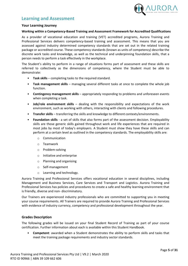

# <span id="page-5-0"></span>**Learning and Assessment**

### <span id="page-5-1"></span>**Your Learning Journey**

### **Working within a Competency-Based Training and Assessment Framework for Accredited Qualifications**

As a provider of vocational education and training (VET) accredited programs, Aurora Training and Professional Services delivers competency-based training and assessment. This means that you are assessed against industry determined competency standards that are set out in the related training package or accredited course. These competency standards (known as units of competency) describe the discrete work tasks and knowledge, as well as the technical and underpinning foundation skills, that a person needs to perform a task effectively in the workplace.

The Student's ability to perform in a range of situations forms part of assessment and these skills are referred to collectively as the dimensions of competency, where the Student must be able to demonstrate:

- **Task skills** completing tasks to the required standard.
- **Task management skills** managing several different tasks at once to complete the whole job function.
- **Contingency management skills** appropriately responding to problems and unforeseen events when completing a task.
- **Job/role environment skills** dealing with the responsibility and expectations of the work environment, such as working with others, interacting with clients and following procedures.
- **Transfer skills** transferring the skills and knowledge to different contexts/environments.
- **Foundation skills** a set of skills that also forms part of the assessment decision. Employability skills are those generic skills gained throughout work and life experiences that are required in most jobs by most of today's employers. A Student must show they have these skills and can perform at a certain level as outlined in the competency standards. The employability skills are:
	- o Communication
	- o Teamwork
	- o Problem-solving
	- o Initiative and enterprise
	- o Planning and organising
	- o Self-management
	- o Learning and technology.

Aurora Training and Professional Services offers vocational education in several disciplines, including Management and Business Services, Care Services and Transport and Logistics. Aurora Training and Professional Services has policies and procedures to create a safe and healthy learning environment that is friendly, diverse and non- discriminatory.

Our Trainers are experienced industry professionals who are committed to supporting you in meeting your course requirements. All Trainers are required to provide Aurora Training and Professional Services with evidence of industry currency, competency and professional development throughout the year.

### <span id="page-5-2"></span>**Grades Description**

The following grades will be issued on your final Student Record of Training as part of your course certification. Further information about each is available within this Student Handbook.

• **Competent**: awarded when a Student demonstrates the ability to perform skills and tasks that meet the training package requirements and industry sector standards.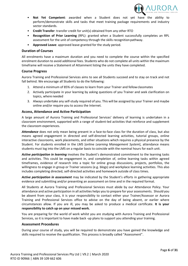

- **Not Yet Competent**: awarded when a Student does not yet have the ability to perform/demonstrate skills and tasks that meet training package requirements and industry sector standards.
- **Credit Transfer**: transfer credit for unit(s) obtained from any other RTO
- **Recognition of Prior Learning** (RPL): granted when a Student successfully completes an RPL assessment for the unit of competency through the skills recognition pathway.
- **Approved Leave**: approved leave granted for the study period.

### <span id="page-6-0"></span>**Duration of Courses**

All enrolments have a maximum duration and you need to complete the course within the specified enrolment duration to avoid additional fees. Students who do not complete all units within the maximum timeframe will receive a Statement of Attainment listing the units they have completed.

### <span id="page-6-1"></span>**Course Progress**

Aurora Training and Professional Services aims to see all Students succeed and to stay on track and not fall behind. We encourage all Students to do the following:

- 1. Attend a minimum of 85% of classes to learn from your Trainer and fellowclassmates
- 2. Actively participate in your learning by asking questions of you Trainer and seek clarification on topics, where needed
- 3. Always undertake any self-study required of you. This will be assigned by your Trainer and maybe online and/or require you to access the Internet.

### <span id="page-6-2"></span>**Access, Attendance and Active Participation**

A large amount of Aurora Training and Professional Services' delivery of learning is undertaken in a classroom environment, supported with a range of student-led activities that reinforce and supplement the classroom experiences.

*Attendance* does not only mean being present in a face-to-face class for the duration of class, but also means agreed engagement in directed and self-directed learning activities, tutorial groups, online interactive classrooms, work placements, and other situations which requires a physical presence by the Student. For students enrolled in the LMS [online *Learning Management System*], attendance means students must log into the LMS on a regular basis to coincide with the nominal hours for each unit.

*Active participation in learning* involves the Student's demonstrated commitment to the learning tasks and activities. This could be engagement in, and completion of, online learning tasks within agreed timeframes, evidence of research into a topic for online group discussions, projects, portfolios, the willingness to engage in group or Trainer sessions (e.g. blogs) and workplace learning activities. This also includes completing directed, self-directed activities and homework outside of class times.

*Active participation in assessment* may be indicated by the Student's efforts in gathering appropriate evidence and submitting and/or presenting an assessment on time and in the required format.

All Students at Aurora Training and Professional Services must abide by our Attendance Policy. Your attendance and active participation in all activities helps you to prepare for your assessments. Should you be absent from your class, it is your responsibility to contact either your Trainer/Assessor or Aurora Training and Professional Services office to advise on the day of being absent, or earlier where circumstances allow. If you are ill, you may be asked to produce a medical certificate. **It is your responsibility to catch up on your missed work.**

You are preparing for the world of work whilst you are studying with Aurora Training and Professional Services, so it is important to have made back -up plans to support you attending your training.

### <span id="page-6-3"></span>**Assessment Procedures**

During your course of study, you will be required to demonstrate you have gained the knowledge and skills required to receive the qualification. This process is broadly called "Assessment".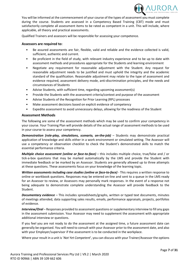

You will be informed at the commencement of your course of the types of assessment you must complete during the course. Students are assessed in a Competency Based Training (CBT) mode and must satisfactorily complete all assessment items to be rated as competent in a unit. This will include, where applicable, all theory and practical assessments.

Qualified Trainers and assessors will be responsible for assessing your competence.

### **Assessors are required to:**

- Be assured assessments are fair, flexible, valid and reliable and the evidence collected is valid, sufficient, authentic and current.
- Be proficient in the field of study, with relevant industry experience and to be up to date with assessment methods and procedures appropriate for the Students and learning environment
- Negotiate any requirement for reasonable adjustment with the Student. Any request for reasonable adjustment needs to be justified and must uphold the integrity and the academic standard of the qualification. Reasonable adjustment may relate to the type of assessment and evidence required, assessment delivery mode, anti-discrimination principles, and the needs and circumstances of Students
- Advise Students, with sufficient time, regarding upcoming assessment(s)
- Provide the Students with the assessment criteria/context and purpose of the assessment
- Advise Students of the Recognition for Prior Learning (RPL) processes
- Make assessment decisions based on explicit evidence of competency
- Expedite assessment to avoid unnecessary delays, allowing for the readiness of the Student

### <span id="page-7-0"></span>**Assessment Methods**

The following are some of the assessment methods which may be used to confirm your competency in your course. Your Training Plan will provide details of the actual range of assessment methods to be used in your course to assess your competency.

**Demonstration (role-play, simulations, scenario, on-the-job)** – Students may demonstrate practical application of knowledge and skills either in a work environment or simulated setting. The Assessor will use a competency or observation checklist to check the Student's demonstrated skills to match the essential performance criteria.

*Multiple choice assessment (online or face-to-face) – this includes multiple choice, true/false and / or* tick-a-box questions that may be marked automatically by the LMS and provide the Student with immediate feedback or be marked by an Assessor. Students are generally allowed up to three attempts at these questions. These assessments focus on your knowledge of the learning topic.

*Written assessments including case studies (online or face-to-face) - This requires a written response to* online or workbook questions. Responses may be entered on-line and sent to a queue in the LMS ready for an Assessor to review, or Assessors may personally mark responses. In the event of a response not being adequate to demonstrate complete understanding the Assessor will provide feedback to the Student.

*Documentary evidence* – This includes spreadsheets/graphs, written or typed text documents, minutes of meetings attended, data supporting sales results, emails, performance appraisals, projects, portfolios of evidence.

*Interview/Oral* – Responses provided to assessment questions or supplementary interview to fill any gaps in the assessment submission. Your Assessor may need to supplement the assessment with appropriate additional interview or questions.

If you feel you are not ready to do the assessment at the assigned time, a future assessment date can generally be organised. You will need to consult with your Assessor prior to the assessment date, and also with your Employer/supervisor if the assessment is to be conducted in the workplace.

Where your result in a unit is '*Not Yet Competent*', you can discuss with your Trainer/Assessor the options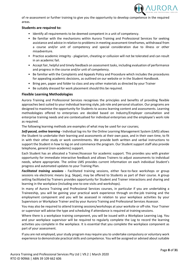

of re-assessment or further training to give you the opportunity to develop competence in the required areas.

### **Students are required to:**

- Identify all requirements to be deemed competent in a unit of competency.
- Be familiar with the mechanisms within Aurora Training and Professional Services for seeking assistance and advice in relation to problems in meeting assessment timeframes, withdrawal from a course and/or unit of competency and special consideration due to illness or other misadventure.
- Practice academic integrity plagiarism, cheating or collusion will not be tolerated and can result in an academic fail.
- Accept fair, helpful and timely feedback on assessment tasks, including evaluation of performance and progress in the course and/or unit of competency.
- Be familiar with the Complaints and Appeals Policy and Procedure which includes the procedures for appealing academic decisions, as outlined on our website or in the Student Handbook.
- Bring pen, paper and folder to class and any other materials as directed by your Trainer
- Be suitably dressed for work placement should this be required.

### <span id="page-8-0"></span>**Flexible Learning Methodologies**

Aurora Training and Professional Services recognises the principles and benefits of providing flexible approaches best suited to your individual learning style, job role and personal situation. Our programs are designed to maximise the opportunity for Students to access learning content and assessments. Learning methodologies offered to enterprises are decided based on Industry/Employer consultation and enterprise training needs and are contextualised for individual enterprises and the employee's work role as required.

The following learning methods are examples of what may be used for our courses;

*Self-paced, online learning* **-** Individual log-ins for the Online Learning Management System (LMS) allows the Student to undertake their learning and assessments at their own pace, and in their own time, to fit in with their other study or work commitments. We provide both written and verbal instructions to support the Student in how to log on and commence the program. Our Student support staff also provide telephone, general (non-academic) support.

Each Student has an allocated a Trainer/Assessor for academic support. This provides you with greater opportunity for immediate interactive feedback and allows Trainers to adjust assessments to individual needs, where appropriate. The online LMS provides current information on each individual Student's progress and automated updates to your Training Plan.

*Facilitated training sessions* **-** Facilitated training sessions, either face-to-face workshops or group sessions via electronic means (e.g. Skype), may be offered to Students as part of their course. A group setting facilitated by Trainers provides opportunity for Student and Trainer interactions and sharing and learning in the workplace (including one-to-one visits and workshops).

In many of Aurora Training and Professional Services courses, in particular if you are undertaking a Traineeship, you will be gaining your practical work experience through on-the-job training and the employment component and you will be assessed in relation to your workplace activities by your Supervisors or Workplace Trainer and by your Aurora Training and Professional Services Assessor.

You may also be required to attend training sessions/workshops at your worksite or off-site. Your Trainer or supervisor will advise the type and scheduling if attendance is required at training sessions.

Where there is a workplace training component, you will be issued with a Workplace Learning Log. You and your workplace supervisor will be required to regularly complete the Log to record the learning activities you complete in the workplace. It is essential that you complete the workplace component as part of your assessment.

If you are not employed, your study program may require you to undertake compulsory or voluntary work experience to demonstrate practical skills and competence. You will be assigned or advised about suitable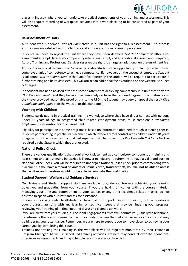

places in industry where you can undertake practical components of your training and assessment. This will also require recording of workplace activities into a workplace log to be considered as part of your assessment.

### <span id="page-9-0"></span>**Re-Assessment of Units**

A Student who is deemed '*Not Yet Competent*' in a unit has the right to a reassessment. The process ensures you are satisfied with the fairness and accuracy of our assessment processes.

Students will need to repeat the unit where they have been deemed '*Not Yet Competent*' after a reassessment attempt. To achieve competency after a re-attempt, and an additional assessment is required, Aurora Training and Professional Services reserves the right to charge an additional unit re-enrolment fee.

Aurora Training and Professional Services provides Students the opportunity of two (2) attempts to complete a unit of competency to achieve competency. If, however, on the second attempt, the Student is still found '*Not Yet Competent*' in that unit of competency, the student will be required to participate in further training and be re-assessed. This will attract an additional fee as outlined on the website, see Fees & Charges.

If a Student has been advised after the second attempt at achieving competency in a unit that they are '*Not Yet Competent*', and they believe they genuinely do have the required degree of competency and they have provided reasonable proof of this to the RTO, the Student may query or appeal the result (See *Complaints and Appeals* on the website or this Handbook).

### <span id="page-9-1"></span>**Working with Children**

Students participating in practical training in a workplace where they have direct contact with persons under 18 years of age in designated child-related employment areas, must complete a *Prohibited Employment Declaration* form on enrolment.

Eligibility for participation in some programs is based on information obtained through screening checks. Students participating in practicum placement which involves direct contact with children under 18 years of age without the presence of a qualified supervisor will be subject to a *Working with Children Check* as required by the State in which they are located.

### <span id="page-9-2"></span>**National Police Check**

There are various qualifications that require work placement as a compulsory component of training and assessment and across many industries it is now a mandatory requirement to have a valid and current National Police Check. You will be required to undergo a National Police Check prior to commencing work placement. **If you have a record of violent or sexual crime, fraud or theft, you will not be able to access the facilities and therefore would not be able to complete the qualification**.

### <span id="page-9-3"></span>**Student Support, Welfare and Guidance Services**

Our Trainers and Student support staff are available to guide you towards achieving your learning objectives and graduating from your course. If you are having difficulties with the course material, managing your time and commitment to your course, or any other academic related matter, do not hesitate to speak with our staff and ask for assistance.

Student support is provided to all Students. The aim of this support may, within reason, include monitoring your progress, assisting with any learning or technical issues that may be hindering your progress, reviewing your training plan timelines and discussing planned activities.

If you are away from your studies, our Student Engagement Officer will contact you, usually via telephone, to determine the reason. Please use the opportunity to advise them of any barriers or concerns that may be hindering your attendance. Remember, we are here to support you to move closer to achieving your career goal by completing this course.

Trainees undertaking their training in the workplace will be regularly monitored by their Trainer or Program Manager. As well as scheduled training activities, Trainers may conduct over-the-phone oral interviews or assessments and may schedule face-to-face workplace visits.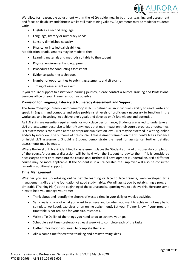

We allow for reasonable adjustment within the ASQA guidelines, in both our teaching and assessment and focus on flexibility and fairness whilst still maintaining validity. Adjustments may be made for students with:

- English as a second language
- Language, literacy or numeracy needs
- Sensory diminished capacity
- Physical or intellectual disabilities.

Modification or adjustments may be made to the:

- Learning materials and methods suitable to the student
- Physical environment and equipment
- Procedures for conducting assessment
- Evidence gathering techniques
- Number of opportunities to submit assessments and sit exams
- Timing of assessment or exam.

If you require support to assist your learning journey, please contact a Aurora Training and Professional Services office or your Trainer as soon as possible.

### <span id="page-10-0"></span>**Provision for Language, Literacy & Numeracy Assessment and Support**

The term '*language, literacy and numeracy*' (LLN) is defined as an individual's ability to read, write and speak in English, and compute and solve problems at levels of proficiency necessary to function in the workplace and in society, to achieve one's goals and develop one's knowledge and potential.

As LLN skills are essential requirements for workplace performance, Students are asked to undertake an LLN pre-assessment exercise to identify any needs that may impact on their course progress or outcomes. LLN assessment is conducted at the appropriate qualification level. LLN may be assessed in writing, online and/or by interview. The outcome of pre-course LLN assessment remains on the Student's file as evidence of initial LLN assessment. Should a Student demonstrate the need for assistance, further detailed assessments may be made.

Where the level of LLN skill identified by assessment places the Student at risk of unsuccessful completion of the course/program, a discussion will be held with the Student to advise them if it is considered necessary to defer enrolment into the course until further skill development is undertaken, or if a different course may be more applicable. If the Student is in a Traineeship the Employer will also be consulted regarding additional support.

### <span id="page-10-1"></span>**Time Management**

Whether you are undertaking online flexible learning or face to face training, well-developed time management skills are the foundation of good study habits. We will assist you by establishing a program timetable (Training Plan) at the beginning of the course and supporting you to achieve this. Here are some hints to help you manage your time:

- Think about and identify the chunks of wasted time in your daily or weekly activities
- Set a realistic goal of what you want to achieve and by when you want to achieve it (it may be to complete workbook exercises or an online assignment). Let your Trainer know if your program timetable is not realistic for your circumstances.
- Write a To Do list of the things you need to do to achieve your goal
- Schedule a set time (preferably at least weekly) to complete each of the tasks
- Gather information you need to complete the tasks
- Allow some time for creative thinking and brainstorming ideas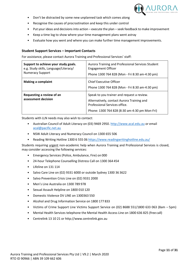

- Don't be distracted by some new unplanned task which comes along
- Recognise the causes of procrastination and keep this under control
- Put your ideas and decisions into action execute the plan seek feedback to make improvement
- Keep a time log to show where your time management plans went astray
- Evaluate how you went and where you can make further time management improvements.

### <span id="page-11-0"></span>**Student Support Services – Important Contacts**

For assistance, please contact Aurora Training and Professional Services' staff:

| Support to achieve your study goals.<br>e.g. Study skills, Language/Literacy/<br><b>Numeracy Support</b> | Aurora Training and Professional Services Student<br><b>Engagement Officer</b><br>Phone 1300 764 828 (Mon - Fri 8:30 am-4:30 pm)                                           |
|----------------------------------------------------------------------------------------------------------|----------------------------------------------------------------------------------------------------------------------------------------------------------------------------|
| <b>Making a complaint</b>                                                                                | Chief Executive Officer<br>Phone 1300 764 828 (Mon - Fri 8:30 am-4:30 pm)                                                                                                  |
| Requesting a review of an<br>assessment decision                                                         | Speak to you trainer and request a review.<br>Alternatively, contact Aurora Training and<br>Professional Services office.<br>Phone: 1300 764 828 (8:30 am-4:30 pm Mon-Fri) |

Students with LLN needs may also wish to contact:

- Australian Council of Adult Literacy on (03) 9469 2950[. http://www.acal.edu.au](http://www.acal.edu.au/) or email [acal@pacific.net.au](mailto:acal@pacific.net.au)
- NSW Adult Literacy and Numeracy Council on 1300 655 506
- Reading Writing Hotline 1300 6 555 06<https://www.readingwritinghotline.edu.au/>

Students requiring urgent non-academic help when Aurora Training and Professional Services is closed, may consider accessing the following services:

- Emergency Services (Police, Ambulance, Fire) on 000
- 24-hour Telephone Counselling Distress Call on 1300 364 454
- Lifeline on 131 114
- Salvo Care Line on (02) 9331 6000 or outside Sydney 1300 36 3622
- Salvo Prevention Crisis Line on (02) 9331 2000
- Men's Line Australia on 1300 789 978
- Sexual Assault Helpline on 1800 010 120
- Domestic Violence DV LINE on 1300363 550
- Alcohol and Drug Information Service on 1800 177 833
- Victims of Crime Support Line Victims Support Service on (02) 8688 551/1800 633 063 (8am 5pm)
- Mental Health Services telephone the Mental Health Access Line on 1800 636 825 (free call)
- Centrelink 13 10 21 or http://www.centrelink.gov.au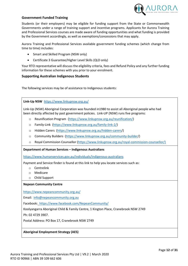

### <span id="page-12-0"></span>**Government Funded Training**

Students (or their employers) may be eligible for funding support from the State or Commonwealth Governments under a range of training support and incentive programs. Applicants for Aurora Training and Professional Services courses are made aware of funding opportunities and what funding is provided by the Government accordingly, as well as exemptions/concessions that may apply.

Aurora Training and Professional Services available government funding schemes (which change from time to time) includes:

- Smart and Skilled Program (NSW only)
- Certificate 3 Guarantee/Higher Level Skills (QLD only)

Your RTO representative will discuss the eligibility criteria, fees and Refund Policy and any further funding information for these schemes with you prior to your enrolment.

### <span id="page-12-1"></span>**Supporting Australian Indigenous Students**

The following services may be of assistance to Indigenous students:

**Link-Up NSW** <https://www.linkupnsw.org.au/>

Link-Up (NSW) Aboriginal Corporation was founded in1980 to assist all Aboriginal people who had been directly affected by past government policies. Link-UP (NSW) runs five programs:

- o [Reunification Program](http://linkupnsw.org.au/reunification-2/) [\(https://www.linkupnsw.org.au/reunification/\)](https://www.linkupnsw.org.au/reunification/)
- o [Family-Link](http://linkupnsw.org.au/family-link-2/) [\(https://www.linkupnsw.org.au/family-link-2/\)](https://www.linkupnsw.org.au/family-link-2/)
- o [Hidden Carers](http://linkupnsw.org.au/hidden-carers/) (https://www.linkupnsw.org.au/hidden-carers/)
- o [Community Builders](http://linkupnsw.org.au/community-builder/) (https://www.linkupnsw.org.au/community-builder/)
- o [Royal Commission Counsellor](http://linkupnsw.org.au/royal-commission-counsellor/) [\(https://www.linkupnsw.org.au/royal-commission-counsellor/\)](https://www.linkupnsw.org.au/royal-commission-counsellor/)

**Department of Human Services – Indigenous Australians** 

<https://www.humanservices.gov.au/individuals/indigenous-australians>

Payment and Service finder is found at this link to help you locate services such as:

- o Centrelink
- o Medicare
- o Child Support

### **Nepean Community Centre**

<https://www.nepeancommunity.org.au/>

Email: [info@nepeancommunity.org.au](mailto:info@nepeancommunity.org.au)

Facebook:<https://www.facebook.com/NepeanCommunity/>

Koolyangarra Aboriginal Child & Family Centre, 1 Kington Place, Cranebrook NSW 2749

Ph: 02 4729 3907.

Postal Address: PO Box 17, Cranebrook NSW 2749

**Aboriginal Employment Strategy (AES)**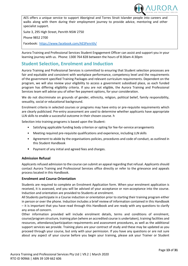

AES offers a unique service to support Aboriginal and Torres Strait Islander people into careers and walks along with them during their employment journey to provide advice, mentoring and other specialist support.

Suite 3, 295 High Street, Penrith NSW 2750

Phone 9852 2700

Facebook: <https://www.facebook.com/AESPenrith/>

Aurora Training and Professional Services Student Engagement Officer can assist and support you in your learning journey with us. Phone: 1300 764 828 between the hours of 8:30am-4:30pm

# <span id="page-13-0"></span>**Student Selection, Enrolment and Induction**

Aurora Training and Professional Services is committed to ensuring that Student selection processes are fair and equitable and consistent with workplace performance, competency level and the requirements of the government specified Training Packages and relevant curriculum requirements. Dependent on the program, we will also review your eligibility to access a government subsidised place, as each funded program has differing eligibility criteria. If you are not eligible, the Aurora Training and Professional Services team will advise you of other fee payment options, for your consideration.

We do not discriminate on grounds of gender, ethnicity, religion, political belief, family responsibility, sexuality, social or educational background.

Enrolment criteria in selected courses or programs may have entry or pre-requisite requirements which are clearly publicised. Pre-entry assessment are used to determine whether applicants have appropriate LLN skills to enable a successful outcome in their chosen course. h

Selection into training programs is based upon the Student:

- Satisfying applicable funding body criterion or opting for fee-for-service arrangements
- Meeting required pre-requisite qualifications and experience, including LLN skills
- Agreement to abide by the organisations policies, procedures and code of conduct, as outlined in this Student Handbook
- Payment of any initial and agreed fees and charges.

### <span id="page-13-1"></span>**Admission Refusal**

Applicants refused admission to the course can submit an appeal regarding that refusal. Applicants should contact Aurora Training and Professional Services office directly or refer to the grievance and appeals process located in this Handbook.

### <span id="page-13-2"></span>**Enrolment and Course Orientation**

Students are required to complete an Enrolment Application form. When your enrolment application is received, it is assessed, and you will be advised of your acceptance or non-acceptance into the course. Induction and orientation are provided to Students at enrolment.

All Students participate in a Course induction or orientation prior to starting their training program either in person or over the phone. Induction includes a brief review of information contained in this Handbook – it is important that you have read through this Handbook and are ready with any questions to clarify any areas of concern.

Other information provided will include enrolment details, terms and conditions of enrolment, course/program structure, training plan (where an accredited course is undertaken), training facilities and resources, attendance/participation requirements and assessment procedures, as well as the additional support services we provide. Training plans are your contract of study and these may be updated as you proceed through your course, but only with your permission. If you have any questions or are not sure about any aspect of your course before you begin your training, please ask your Trainer or Student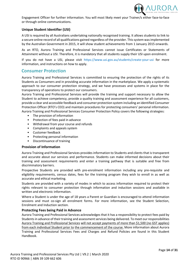

Engagement Officer for further information. You will most likely meet your Trainer/s either face-to-face or through online communications.

### <span id="page-14-0"></span>**Unique Student Identifier (USI)**

A USI is required by all Australians undertaking nationally recognised training. It allows students to link to a secure online record of all qualifications gained regardless of the provider. This system was implemented by the Australian Government in 2015, it will show student achievements from 1 January 2015 onwards.

As an RTO, Aurora Training and Professional Services cannot issue Certificates or Statements of Attainment without a USI. Therefore, it is mandatory that all students supply their USI upon enrolment.

If you do not have a USI, please visit [https://www.usi.gov.au/students/create-your-usi f](https://www.usi.gov.au/students/create-your-usi)or more information, and instructions on how to apply.

### <span id="page-14-1"></span>**Consumer Protection**

Aurora Training and Professional Services is committed to ensuring the protection of the rights of its Students as Consumers and in providing accurate information in the marketplace. We apply a systematic approach to our consumer protection strategy, and we have processes and systems in place for the transparency of operations to protect our consumers.

Aurora Training and Professional Services will provide the training and support necessary to allow the Student to achieve competency, provide a quality training and assessment experience for all customers, provide a clear and accessible feedback and consumer protection system including an identified Consumer Protection Officer (RTO's CEO) and maintain procedures for protecting consumers' personal information. Aurora Training and Professional Services Consumer Protection Policy covers the following strategies:

- The provision of information
- Protection of fees paid in advance
- Withdrawal from your course and refunds
- Complaints and appeals system
- Customer feedback
- Protecting personal information
- Discontinuance of training

### <span id="page-14-2"></span>**Provision of Information**

Aurora Training and Professional Services provides information to Students and clients that is transparent and accurate about our services and performance. Students can make informed decisions about their training and assessment requirements and enter a training pathway that is suitable and free from discriminatory barriers.

Prospective Students are provided with pre-enrolment information including any pre-requisite and eligibility requirements, census dates, fees for the training program they wish to enroll in as well as accurate and ethical marketing.

Students are provided with a variety of modes in which to access information required to protect their rights relevant to consumer protection through information and induction sessions and available in written and electronic information.

Where a Student is under the age of 18 years a Parent or Guardian is encouraged to attend information sessions and must co-sign all enrolment forms. For more information, see the Student Selection, Enrolment and Induction section.

### <span id="page-14-3"></span>**Protecting Fees being Paid in Advance**

Aurora Training and Professional Services acknowledges that it has a responsibility to protect fees paid by Students in advance of their training and assessment services being delivered. To meet our responsibilities Aurora Training and Professional Services will not accept payments of more than \$1,500 (no GST applies) from each individual Student prior to the commencement of the course. More information about Aurora Training and Professional Services Fees and Charges and Refund Policies are found in this Student Handbook.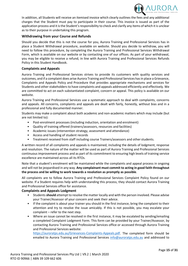

In addition, all Students will receive an itemised invoice which clearly outlines the fees and any additional charges that the Student must pay to participate in their course. This invoice is issued as part of the application process and it is the Student's responsibility to check and clarify any items of which it is unclear as to their purpose in undertaking this program.

### <span id="page-15-0"></span>**Withdrawing from your Course and Refunds**

Should you decide that this is not the course for you, Aurora Training and Professional Services has in place a Student Withdrawal procedure, available on website. Should you decide to withdraw, you will need to follow this procedure, by completing the Aurora Training and Professional Services Withdrawal Form, which is available on our website or by contacting one of our offices. As part of your withdrawal, you may be eligible to receive a refund, in line with Aurora Training and Professional Services Refunds Policy in this Student Handbook.

### <span id="page-15-1"></span>**Complaints and Appeals**

Aurora Training and Professional Services strives to provide its customers with quality services and outcomes, and if a complaint does arise Aurora Training and Professional Services has in place a Grievance, Complaints and Appeals Policy and Procedure that provides appropriate mechanisms and services for Students and other stakeholders to have complaints and appeals addressed efficiently and effectively. We are committed to act on each substantiated complaint, concern or appeal. This policy is available on our website.

Aurora Training and Professional Services use a systematic approach to deal with complaints, concerns and appeals. All concerns, complaints and appeals are dealt with fairly, honestly, without bias and in a professional and fully documented manner.

Students may make a complaint about both academic and non-academic matters which may include (but are not limited to):

- Post-enrolment processes (including induction, orientation and enrolment)
- Quality of training offered (trainers/assessors, resources and facilities)
- Academic issues (intervention strategy, assessment and attendance)
- Access and handling of student records
- Treatment received from staff including course Trainers/assessors and other students.

A written record of all complaints and appeals is maintained, including the details of lodgment, response and resolution. The nature of the matter will be used as part of Aurora Training and Professional Services continuous improvement process and as part of its commitment to ensuring high levels of training service excellence are maintained across all its RTOs.

Note that a student's enrolment will be maintained while the complaints and appeal process in ongoing and will not be jeopardised in any way. **Any complainant must commit to acting in good faith throughout the process and be willing to work towards a resolution as promptly as possible**.

All complaints are to follow Aurora Training and Professional Services Complaint Policy found on our website. If a Student requires help with understanding this process, they should contact Aurora Training and Professional Services office for assistance.

### <span id="page-15-2"></span>**Complaints and Appeals Lodgment**

- Students**should** attempt to resolve the matter locally and with the person involved. Please advise your Trainer/Assessor of your concern and seek their advice.
- If the complaint is about your trainer you should in the first instance, bring the complaint to their attention and try to resolve the issue amicably. If this is not possible, you may escalate your complaint – refer to the next step.
- Where an issue cannot be resolved in the first instance, it may be escalated by sending/emailing a completed Complaint Lodgment Form. This form can be provided by your Trainer/Assessor, by contacting Aurora Training and Professional Services office or accessed through Aurora Training and Professional Services website:

[https://auroratps.edu.au/Grievances-Complaints-Appeals.pdf.](https://worksavvy.edu.au/Grievances-Complaints-Appeals.pdf) The completed form should be emailed to Aurora Training and Professional Services [info@auroratps.edu.au](mailto:info@worksavvy.edu.au) and addressed to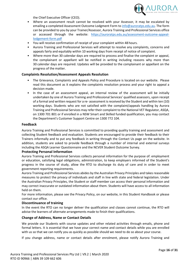

the Chief Executive Officer (CEO).

- Where an assessment result cannot be resolved with your Assessor, it may be escalated by emailing a completed Assessment Outcome Lodgment Form to [info@auroratps.edu.au.](mailto:info@worksavvy.edu.au) The form can be provided to you by your Trainer/Assessor, Aurora Training and Professional Services office or accessed through the website: [https://auroratps.edu.au/assessment-outcome-appeal](https://worksavvy.edu.au/assessment-outcome-appeal-lodgement-form.pdf)[lodgement-form.pdf](https://worksavvy.edu.au/assessment-outcome-appeal-lodgement-form.pdf)
- You will receive confirmation of receipt of your complaint within 48 hours.
- Aurora Training and Professional Services will attempt to resolve any complaints, concerns and appeals fairly and equitably within 10 working days from receipt of notice of complaint.
- Where more than 30 calendar days are required to process and finalise the complaint or appeal, the complainant or appellant will be notified in writing including reasons why more than 30 calendar days are required. Updates will be provided to the complainant or appellant on the progress of the matter.

### <span id="page-16-0"></span>**Complaints Resolution/Assessment Appeals Resolution**

- The Grievance, Complaints and Appeals Policy and Procedure is located on our website. Please read this document as it explains the complaints resolution process and your right to appeal a decision made.
- In the case of an assessment appeal, an internal review of the assessment will be initially undertaken by one of Aurora Training and Professional Services' qualified assessors, upon receipt of a formal and written request for a re- assessment is received by the Student and within ten (10) working days. Students who are not satisfied with the complaint/appeals handling by Aurora Training and Professional Services may refer their complaint to the National VET Regulator, ASQA, on 1300 701 801 or if enrolled in a NSW Smart and Skilled funded qualification, you may contact the Department's Customer Support Centre on 1300 772 104.

### <span id="page-16-1"></span>**Feedback**

Aurora Training and Professional Services is committed to providing quality training and assessment and collecting Student feedback and evaluation. Students are encouraged to provide their feedback to their Trainers informally and to put any feedback in writing through the Contact Us page on the website. In addition, students are asked to provide feedback through a number of internal and external surveys including the ASQA Learner Questionnaire and the NCVER Student Outcome Survey.

### <span id="page-16-2"></span>**Protecting Personal Information**

Aurora Training and Professional Services collects personal information for the purpose of: employment or education, satisfying legal obligations, administration, to keep employers informed of the Student's progress in the course of study, allow the RTO to discharge its duty of care and in order to meet government reporting requirements.

Aurora Training and Professional Services abides by the Australian Privacy Principles and takes reasonable measures to protect the privacy of individuals and staff in line with state and federal legislation. Under the Australian Privacy Principles, the Student or staff member can access their personal information and may correct inaccurate or outdated information about them. Students will have access to all information held on them.

For more information, please see the Privacy Policy, on our website, in this Student Handbook or please contact our office.

### <span id="page-16-3"></span>**Discontinuance of training**

In the event the RTO can no longer deliver the qualification and classes cannot continue, the RTO will advise the learners of alternate arrangements made to finish their qualifications.

### <span id="page-16-4"></span>**Change of Address, Name or Contact Details**

We provide our Students with course updates and other related activities through emails, phone and formal letters. It is essential that we have your correct name and contact details while you are enrolled with us so that we can notify you as quickly as possible should we need to do so about your course.

If you change address, name or contact details after enrolment, please notify Aurora Training and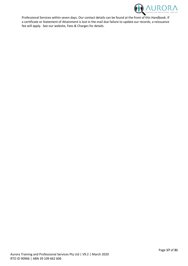<span id="page-17-0"></span>

Professional Services within seven days. Our contact details can be found at the front of this Handbook. If a certificate or Statement of Attainment is lost in the mail due failure to update our records, a reissuance fee will apply. See our website, Fees & Charges for details.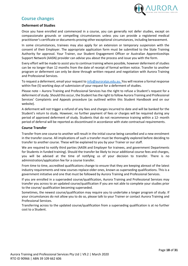

# **Course changes**

### <span id="page-18-0"></span>**Deferment of Studies**

Once you have enrolled and commenced in a course, you can generally not defer studies, except on compassionate grounds or compelling circumstances unless you can provide a registered medical practitioner's certificate or documents proving other exceptional circumstances, including bereavement.

In some circumstances, trainees may also apply for an extension or temporary suspension with the consent of their Employer. The appropriate application form must be submitted to the State Training Authority for approval. Your Trainer, our Student Engagement Officer or Australian Apprenticeships Support Network (AASN) provider can advise you about the process and issue you with the form.

Every effort will be made to assist you to continue training where possible, however deferment of studies can be no longer than 12 months from the date of receipt of formal written notice. Transfer to another program or deferment can only be done through written request and negotiation with Aurora Training and Professional Services.

To request a deferment, email your request t[o info@auroratps.edu.au.](mailto:info@worksavvy.edu.au) You will receive a formal response within five (5) working days of submission of your request for a deferment of studies.

Please note – Aurora Training and Professional Services has the right to refuse a Student's request for a deferment of study. Should this occur, the Student has the right to follow Aurora Training and Professional Services' Complaints and Appeals procedure (as outlined within this Student Handbook and on our website).

A deferment will not trigger a refund of any fees and charges incurred to date and will be banked for the Student's return to study. However, no further payment of fees or charges will be required during any period of approved deferment of study. Students that do not recommence training within a 12- month period of deferral will be reported as discontinued in accordance with state contractual requirements.

### <span id="page-18-1"></span>**Course Transfer**

Transfer from one course to another will result in the initial course being cancelled and a new enrolment in the transfer course. All implications of such a transfer must be thoroughly explored before deciding to transfer to another course. These will be explained to you by your Trainer or our staff.

We are required to notify third parties (AASN and Employer for trainees, and government Departments for Students in funded training). Should the transfer be likely to incur additional course fees and charges, you will be advised at the time of notifying us of your decision to transfer. There is no administration/application fee for a course transfer.

From time to time, accredited qualifications change to ensure that they are keeping abreast of the latest industry requirements and new courses replace older ones, known as superseding qualifications. This is a government initiative and one that must be followed by Aurora Training and Professional Services.

If you are enrolled in a superseded course/qualification, Aurora Training and Professional Services may transfer you across to an updated course/qualification if you are not able to complete your studies prior to the course/ qualification becoming superseded.

Sometimes, the newest course/qualification may require you to undertake a longer program of study. If your circumstances do not allow you to do so, please talk to your Trainer or contact Aurora Training and Professional Services.

Transferring across to the updated course/qualification from a superseding qualification is at no further cost to a Student.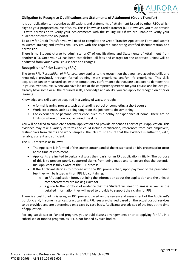

### <span id="page-19-0"></span>**Obligation to Recognise Qualifications and Statements of Attainment (Credit Transfer)**

It is our obligation to recognise qualifications and statements of attainment issued by other RTOs which align to your proposed course of study. This is known as Credit Transfer (CT). However, you must provide us with permission to verify your achievements with the issuing RTO if we are unable to verify your qualifications with the USI portal.

To apply for Credit Transfer, you will need to complete the Credit Transfer Application Form and submit to Aurora Training and Professional Services with the required supporting certified documentation and permission.

There is no Student charge to administer a CT of qualifications and Statements of Attainment from another RTO. Once your CT has been established, all fees and charges for the approved unit(s) will be deducted from your overall course fees and charges.

### <span id="page-19-1"></span>**Recognition of Prior Learning (RPL)**

The term RPL (*Recognition of Prior Learning*) applies to the recognition that you have acquired skills and knowledge previously through formal training, work experience and/or life experience. This skills acquisition can be measured against the competency performance that you are expected to demonstrate in your current course. When you have looked at the competency criteria for your course and believe you already have some or all the required skills, knowledge and ability, you can apply for recognition of prior learning.

Knowledge and skills can be acquired in a variety of ways, through:

- A formal learning process, such as attending school or completing a short course
- Work experience, such as being taught on the job how to do something
- Life experience or personal experience, such as a hobby or experience at home. There are no limits on where or how you acquired the skills.

You will be asked to complete a formal application and provide evidence as part of your application. This evidence may take a variety of forms and could include certification, references from past employers, testimonials from clients and work samples. The RTO must ensure that the evidence is authentic, valid, reliable, current and sufficient.

The RPL process is as follows:

- The Applicant is informed of the course content and of the existence of an RPL process prior to/or at the time of enrolment.
- Applicants are invited to verbally discuss their basis for an RPL application initially. The purpose of this is to prevent poorly supported claims from being made and to ensure that the potential RPL Applicant is fully aware of the RPL process.
- If the Applicant decides to proceed with the RPL process then, upon payment of the prescribed fee, they will be issued with an RPL kit, containing:
	- $\circ$  an RPL application form, outlining the information about the application and the units of competency they are making claim for.
	- $\circ$  a guide to the portfolio of evidence that the Student will need to amass as well as the detailed information they will need to provide to support their claim for RPL.

There is a cost to administering an RPL process, based on the review and assessment of the Applicant's portfolio and, in some instances, practical skills. RPL fees are charged based on the actual cost of services to be provided and are determined on a case by case basis. Applicants are advised of the fees at the time of application.

For any subsidised or Funded program, you should discuss arrangements prior to applying for RPL in a subsidised or funded program, as RPL is not funded by such bodies.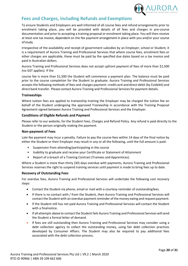

# <span id="page-20-0"></span>**Fees and Charges, including Refunds and Exemptions**

To ensure Students and Employers are well informed of all course fees and refund arrangements prior to enrolment taking place, you will be provided with details of all fees and charges in pre-course documentation and prior to accepting a training proposal or enrolment taking place. You will then receive at least one tax invoice, dependent on the fee payment arrangement in place with you and/or your course ofstudy.

Irrespective of the availability and receipt of government subsidies by an Employer, school or Student, it is a requirement of Aurora Training and Professional Services that where course fees, enrolment fees or other charges are applicable, these must be paid by the specified due dates based on a tax invoice and paid in Australian dollars.

Aurora Training and Professional Services does not accept upfront payment of fees of more than \$1,500 (no GST applies). If the

course fee is more than \$1,500 the Student will commence a payment plan. The balance must be paid prior to the course completion for the Student to graduate. Aurora Training and Professional Services accepts the following methods of fees and charges payment: credit card and direct debit (by Ezidebit) and direct bank transfer. Please contact Aurora Training and Professional Servicesfor payment details.

### <span id="page-20-1"></span>**Traineeships**

Where tuition fees are applied to traineeship training the Employer may be charged the tuition fee on behalf of the Student undergoing the approved Traineeship in accordance with the Training Proposal Agreement signed between Aurora Training and Professional Services and the Employer.

### <span id="page-20-2"></span>**Conditions of Eligible Refunds and Payment**

Please refer to our website, for the Student Fees, Charges and Refund Policy. Any refund is paid directly to the Student or the person originally making the payment.

### <span id="page-20-3"></span>**Non-payment of Fees**

Late fee payment may incur a penalty. Failure to pay the course fees within 14 days of the final notice by either the Student or their Employer may result in any or all the following, until the full amount is paid:

- Suspension from attending/participating in the course
- Inability to graduate and receive your Certificate or Statement of Attainment
- Report of a breach of a Training Contract (Trainees and Apprentices).

Where a Student is more than thirty (30) days overdue with payments, Aurora Training and Professional Services reserves the right to suspend training services until payment is made to bring fees up to date.

### <span id="page-20-4"></span>**Recovery of Outstanding Fees**

For overdue fees, Aurora Training and Professional Services will undertake the following cost recovery steps:

- Contact the Student via phone, email or mail with a courtesy reminder of outstandingfees.
- If there is no contact with / from the Student, then Aurora Training and Professional Services will contact the Student with an overdue payment reminder of the money owing and requestpayment.
- If the Student still has not paid Aurora Training and Professional Services will contact the Student with a finalnotice.
- If all attempts above to contact the Student fails Aurora Training and Professional Services willsend the Student a formal letter of demand.
- If fees are still outstanding then Aurora Training and Professional Services may consider using a debt collection agency to collect the outstanding money, using fair debt collection practices developed by Consumer Affairs. The Student may also be required to pay additional fees associated with the debt collection process.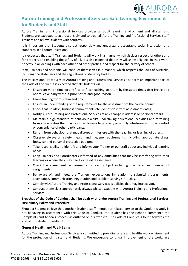

# <span id="page-21-0"></span>**Aurora Training and Professional Services Safe Learning Environment for Students and Staff**

Aurora Training and Professional Services provides an adult learning environment and all staff and Students are expected to act responsibly and to treat all Aurora Training and Professional Services staff, Trainers and fellow Students with courtesy.

It is important that Students also act responsibly and understand acceptable social interaction and standards in all communications.

It is expected that staff, Trainers and Students will work in a manner which displays respect for others and for property and enabling the safety of all. It is also expected that they will show diligence in their work, honesty in all dealings with each other and other parties, and respect for the privacy of others.

Staff, Trainers and Students will conduct themselves in a manner which respects the laws of Australia, including the state laws and the regulations of statutory bodies.

The Policies and Procedures of Aurora Training and Professional Services also form an important part of the Code of Conduct. It is expected that all Students will:

- Ensure arrival on time for any face-to-face teaching, to return by the stated times after breaks and not to leave early without prior notice and good reason.
- Leave training rooms clean and tidy.
- Ensure an understanding of the requirements for the assessment of the course or unit.
- Check that holidays, business commitments etc. do not clash with assessment dates.
- Notify Aurora Training and Professional Services of any change in address or personal details.
- Maintain a high standard of behaviour whilst undertaking educational activities and refraining from any activities that may result in damage to property or unduly interfering with the comfort or convenience of other participants.
- Refrain from behaviour that may disrupt or interfere with the teaching or learning of others.
- Observe always all safety, health and hygiene requirements, including appropriate dress, footwear and personal protective equipment.
- Take responsibility to identify and inform your Trainer or our staff about any individual learning needs
- Keep Trainers and Coordinators informed of any difficulties that may be interfering with their learning or where they may need some extra assistance.
- Check the assessment requirements for each subject including due dates and number of assignments.
- Be aware of, and meet, the Trainers' expectations in relation to submitting assignments, attendance, communication, negotiation and problem-solving strategies.
- Comply with Aurora Training and Professional Services 's policies that may impact you.
- Conduct themselves appropriately always whilst a Student with Aurora Training and Professional Services.

### **Breaches of the Code of Conduct shall be dealt with under Aurora Training and Professional Services' Disciplinary Policy and Procedure**.

Should a Student believe that another Student, staff member or related person to the Student's study is not behaving in accordance with this Code of Conduct, the Student has the right to commence the Complaints and Appeals process, as outlined on our website. The Code of Conduct is found towards the end of this Student Handbook.

### <span id="page-21-1"></span>**General Health and Well-Being**

Aurora Training and Professional Services is committed to providing a safe and healthy work environment for the protection of its staff and Students. We encourage continual improvement of the workplace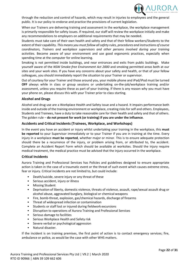

through the reduction and control of hazards, which may result in injuries to employees and the general public. It is our policy to endorse and practice the provisions of current legislation.

When our Trainers are delivering training and assessment in the workplace, the workplace management is primarily responsible for safety issues. If required, our staff will review the workplace initially and make any recommendations to employers on additional requirements that may be needed.

Students must take care of their own health and safety and that of their fellow workers/Students to the extent of their capability. *This means you must follow all safety rules, procedures and instructions of course coordinators, Trainers and workplace supervisors and other persons involved during your training activities.* Become aware of your environment and use good ergonomic practices, especially when spending time at the computer for online learning.

Smoking is not permitted inside buildings, and near entrances and exits from public buildings. Make yourself aware of the *NSW Smoke-free Environment Act 2000* and smoking permitted areas both at our sites and your work sites. If you have any concerns about your safety and health, or that of your fellow colleagues, you should immediately report the situation to your Trainer or supervisor.

Out of courtesy for your Trainer and those around you, your mobile phone and iPad/iPod must be turned **OFF** always while in class or group sessions or undertaking on-the-job/workplace training and/or assessment, unless you require these as part of your training. If there is any reason why you must have your phone on, please discuss this with your Trainer prior to class starting.

### <span id="page-22-0"></span>**Alcohol and Drugs**

Alcohol and drug use are a Workplace Health and Safety issue and a hazard. It impairs performance both inside and outside of the training environment or workplace, creating risks for self and others. Employees, Students and Trainees, have a duty to take reasonable care for their health and safety and that of others. The golden rule – **do not present for work (or training) if you are under the influence**.

### **Accidents and Critical Incidents (Trainees, Workplace, and Workshops)**

In the event you have an accident or injury whilst undertaking your training in the workplace, this **must be reported** to your Supervisor immediately or to your Trainer if you are in training at the time. Every injury in a workplace **must be reported**, whether major or minor. This is to ensure adequate protection should there be a recurrence of the injury, or problem arising from, or attributed to, the accident. Complete an Accident Report Form which should be available at worksites. Should the injury require medical treatment, the medical practice must be advised that the injury occurred in the workplace.

### <span id="page-22-1"></span>**Critical Incidents**

Aurora Training and Professional Services has Policies and guidelines designed to ensure appropriate action is taken in the case of a traumatic event or the threat of such event which causes extreme stress, fear or injury. Critical incidents are not limited to, but could include:

- Death/suicide, severe injury or any threat of these
- Serious accident, injury or illness
- **Missing Student**
- Deprivation of liberty, domestic violence, threats of violence, assault, rape/sexual assault drug or alcohol abuse, aggravated burglary, biological or chemical weapons
- Fire, bomb-threat, explosion, gas/chemical hazards, discharge of firearms
- Threat of widespread infection or contamination
- Students or staff lost or injured during fieldwork excursions
- Disruption to operations of Aurora Training and Professional Services
- Serious damage to facilities
- Serious Workplace Health and Safety risk
- Severe verbal or psychological aggression
- Natural disaster.

If the incident is on training premises, the first point of action is to contact emergency services; fire, ambulance or police, as would be the case with other WHS matters.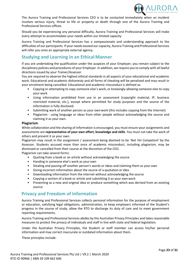

The Aurora Training and Professional Services CEO is to be contacted immediately when an incident involves serious injury, threat to life or property or death through one of the Aurora Training and Professional Services offices.

Should you be experiencing any personal difficulty, Aurora Training and Professional Services will make every attempt to accommodate your needs within our limited capacity.

Aurora Training and Professional Services has a compassionate and understanding approach to the difficulties of our participants. If your needs exceed our capacity, Aurora Training and Professional Services will refer you onto an appropriate external agency.

# <span id="page-23-0"></span>**Studying and Learning in an Ethical Manner**

If you are undertaking the qualification under the auspices of your Employer, you remain subject to the disciplinary policies and procedures of your Employer. In addition, we require you to comply with all lawful directions issued by your Trainer/Assessor.

You are required to observe the highest ethical standards in all aspects of your educational and academic work. Educational and academic dishonesty and all forms of cheating will be penalised and may result in your enrolment being cancelled. Educational and academic misconduct is defined as:

- Copying or attempting to copy someone else's work, or knowingly allowing someone else to copy your work
- Using information prohibited from use in an assessment [copyright material, IP, business restricted material, etc.], except where permitted for study purposes and the source of the information is fully disclosed.
- Submitting work of another person as your ownwork (this includes copying from the Internet)
- Plagiarism using language or ideas from other people without acknowledging the source and claiming it as your own.

### <span id="page-23-1"></span>**Plagiarism**

While collaboration and the sharing of information is encouraged, you must ensure your assignments and assessments are **representative of your own effort, knowledge and skills**. You must not take the work of others and present it as your own.

Plagiarism may result in the assignment / assessment being deemed to be '*Not Yet Competent'* by the Assessor. Students accused more than once of academic misconduct, including plagiarism, may be dismissed or cancelled from their course at the discretion of the CEO.

Plagiarism can take several forms:

- Quoting from a book or an article without acknowledging the source
- Handing in someone else's work as your own
- Stealing and passing off another person's words or ideas and claiming them as your own
- Giving incorrect information about the source of a quotation or idea
- Downloading information from the internet without acknowledging the source
- Copying a section of a book or article and submitting it as your ownwork
- Presenting as a new and original idea or produce something which was derived from an existing source.

# <span id="page-23-2"></span>**Privacy and Freedom of Information**

Aurora Training and Professional Services collects personal information for the purpose of employment or education, satisfying legal obligations, administration, to keep employers informed of the Student's progress in the course of study, allow the RTO to discharge its duty of care and to meet government reporting requirements.

Aurora Training and Professional Services abides by the Australian Privacy Principles and takes reasonable measures to protect the privacy of individuals and staff in line with state and federal legislation.

Under the Australian Privacy Principles, the Student or staff member can access his/her personal information and may correct inaccurate or outdated information about them.

These principles include: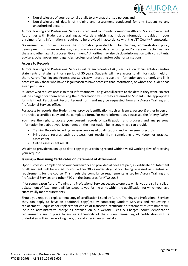

- Non-disclosure of your personal details to any unauthorised person, and
- Non-disclosure of details of training and assessment conducted for any Student to any unauthorised person.

Aurora Training and Professional Services is required to provide Commonwealth and State Government Authorities with Student and training activity data which may include information provided in your enrolment form. Information is required to be provided in accordance with the VET Quality Framework.

Government authorities may use the information provided to it for planning, administration, policy development, program evaluation, resource allocation, data reporting and/or research activities. For these and other lawful purposes, Government Authorities may also disclose information to its consultants, advisers, other government agencies, professional bodies and/or other organisations.

### <span id="page-24-0"></span>**Access to Records**

Aurora Training and Professional Services will retain records of AQF certification documentation and/or statements of attainment for a period of 30 years. Students will have access to all information held on them. Aurora Training and Professional Services will store and use the information appropriately and limit access to only those who have a legal reason to have access to that information, or whom the Student has given permission.

Students who request access to their information will be given full access to the details they want. No cost will be charged for them accessing their information whilst they are enrolled Students. The appropriate form is titled, Participant Record Request form and may be requested from any Aurora Training and Professional Services office.

For access to records, the Student must provide identification (such as licence, passport) either in person or provide a certified copy and the completed form. For more information, please see the *Privacy Policy*.

You have the right to access your current records of participation and progress and any personal information held about you. Dependent on the information being sought, we can provide:

- Training Records including re-issue versions of qualifications and achievement records
- Print-based records such as assessment results from completing a workbook or practical assessment
- Online assessment results.

We aim to provide you an up-to date copy of your training record within five (5) working days of receiving your request.

### <span id="page-24-1"></span>**Issuing & Re-issuing Certificates or Statement of Attainment**

Upon successful completion of your coursework and provided all fees are paid, a Certificate or Statement of Attainment will be issued to you within 30 calendar days of you being assessed as meeting all requirements for the course. This meets the compliance requirements as set for Aurora Training and Professional Services and other RTOs in the Standards for RTOs 2015.

If for some reason Aurora Training and Professional Services ceases to operate whilst you are still enrolled, a Statement of Attainment will be issued to you for the units within the qualification for which you have successfully met requirements.

<span id="page-24-2"></span>Should you require a replacement copy of certification issued by Aurora Training and Professional Services they can apply to have an additional copy(ies) by contacting Student Services and requesting a replacement. Requests for replacement copies of transcript, certificate or Statement of Attainment will incur an administrative charge as detailed on our website, Fees & Charges. Strict identification requirements are in place to ensure authenticity of the student. Re-issuing of certification will be undertaken within five working days, once all checks are undertaken.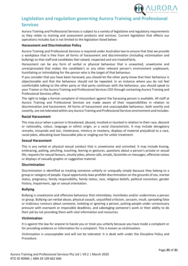

# **Legislation and regulation governing Aurora Training and Professional Services**

Aurora Training and Professional Services is subject to a variety of legislative and regulatory requirements as they relate to training and assessment products and services. Current legislation that effects our operations includes but is not limited to the legislation listed below:

### <span id="page-25-0"></span>**Harassment and Discrimination Policy**

Aurora Training and Professional Services is required under Australian law to ensure that that we provide a workplace that is free from all forms of harassment and discrimination (including victimisation and bullying) so that staff and candidates feel valued, respected and are treatedfairly.

Harassment can be any form of verbal or physical behaviour that is unwanted, unwelcome and unreciprocated that makes the candidate's or any other relevant person's environment unpleasant, humiliating or intimidating for the person who is the target of that behaviour.

If you consider that you have been harassed, you should let the other party know that their behaviour is objectionable and that the behaviour should not be repeated. In an instance where you do not feel comfortable talking to the other party or that party continues with the behaviour, you should speak to your Trainer or the Aurora Training and Professional Services CEO through contacting Aurora Training and Professional Services office.

The right to lodge a formal complaint of misconduct against the harassing person is available. All staff at Aurora Training and Professional Services are made aware of their responsibilities in relation to discrimination and harassment. All forms of harassment and unacceptable behaviour, both overtly and covertly, are not tolerated within any Aurora Training and Professional Services environment and includes:

### <span id="page-25-1"></span>**Racial Harassment**

This may occur when a person is threatened, abused, insulted or taunted in relation to their race, descent or nationality, colour, language or ethnic origin, or a racial characteristic. It may include derogatory remarks, innuendo and slur, intolerance, mimicry or mockery, displays of material prejudicial to a race, racial jokes, allocating least favourable jobs or singling out for unfair treatment.

### <span id="page-25-2"></span>**Sexual Harassment**

This is any verbal or physical sexual conduct that is unwelcome and uninvited. It may include kissing, embracing, patting, pinching, touching, leering or gestures, questions about a person's private or sexual life, requests for sexual favours, smutty jokes, phone calls, emails, facsimiles or messages, offensive noises or displays of sexually graphic or suggestive material.

### <span id="page-25-3"></span>**Discrimination**

Discrimination is identified as treating someone unfairly or unequally simply because they belong to a group or category of people. Equal opportunity laws prohibit discrimination on the grounds of sex, marital status, pregnancy, family responsibility, family status, race, religious beliefs, political conviction, gender history, impairment, age or sexual orientation.

### <span id="page-25-4"></span>**Bullying**

Bullying is unwelcome and offensive behaviour that intimidates, humiliates and/or undermines a person or group. Bullying can verbal abuse, physical assault, unjustified criticism, sarcasm, insult, spreading false or malicious rumours about someone, isolating or ignoring a person, putting people under unnecessary pressure with overwork or impossible deadlines, and sabotaging someone's work or their ability to do their job by not providing them with vital information and resources.

### <span id="page-25-5"></span>**Victimisation**

It is against the law for anyone to hassle you or treat you unfairly because you have made a complaint or for providing evidence or information for a complaint. This is known as victimisation.

<span id="page-25-6"></span>Victimisation is unacceptable and will not be tolerated. It is dealt with under the Discipline Policy and Procedure.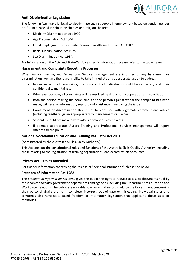

### **Anti-Discrimination Legislation**

The following Acts make it illegal to discriminate against people in employment based on gender, gender preference, race, skin colour, disabilities and religious beliefs:

- Disability Discrimination Act 1992
- Age Discrimination Act 2004
- Equal Employment Opportunity (Commonwealth Authorities) Act 1987
- Racial Discrimination Act 1975
- Sex Discrimination Act 1984.

For information on the Acts and State/Territory specific information, please refer to the table below.

### <span id="page-26-0"></span>**Harassment and Complaints Reporting Processes**

When Aurora Training and Professional Services management are informed of any harassment or discrimination, we have the responsibility to take immediate and appropriate action to address it.

- In dealing with all complaints, the privacy of all individuals should be respected, and their confidentiality maintained.
- Whenever possible, all complaints will be resolved by discussion, cooperation and conciliation.
- Both the person making the complaint, and the person against whom the complaint has been made, will receive information, support and assistance in resolving the issue.
- Harassment or discrimination should not be confused with legitimate comment and advice (including feedback) given appropriately by management or Trainers.
- Students should not make any frivolous or malicious complaints.
- If deemed appropriate, Aurora Training and Professional Services management will report offences to the police.

### <span id="page-26-1"></span>**National Vocational Education and Training Regulator Act 2011**

(Administered by the Australian Skills Quality Authority)

This Act sets out the constitutional roles and functions of the Australia Skills Quality Authority, including those relating to the registration of training organisations, and accreditation of courses.

### <span id="page-26-2"></span>**Privacy Act 1998 as Amended**

For further information concerning the release of "personal information" please see below.

### <span id="page-26-3"></span>**Freedom of Information Act 1982**

The *Freedom of Information Act 1982* gives the public the right to request access to documents held by most commonwealth government departments and agencies including the Department of Education and Workplace Relations. The public are also able to ensure that records held by the Government concerning their personal affairs are not incomplete, incorrect, out of date or misleading. Individual states and territories also have state-based freedom of information legislation that applies to those state or territories.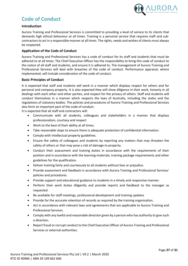

# **Code of Conduct**

### <span id="page-27-0"></span>**Introduction**

Aurora Training and Professional Services is committed to providing a level of service to its clients that demands high ethical behaviour at all times. Training is a personal service that requires staff and subcontractors to act in a responsible manner at all times. The rights, needs and wishes of clients must always be respected.

### <span id="page-27-1"></span>**Application of the Code of Conduct**

Aurora Training and Professional Services has a code of conduct for its staff and students that must be adhered to at all times. The Chief Executive Officer has the responsibility to bring this code of conduct to the notice of all staff and students, and ensure it is adhered to. The management of Aurora Training and Professional Services will deal with breaches of the code of conduct. Performance appraisal, where implemented, will include consideration of the code of conduct.

### <span id="page-27-2"></span>**Basic Principles of Conduct**

It is expected that staff and students will work in a manner which displays respect for others and for personal and company property. It is also expected they will show diligence in their work, honesty in all dealings with each other and other parties, and respect for the privacy of others. Staff and students will conduct themselves in a manner which respects the laws of Australia, including the states and the regulations of statutory bodies. The policies and procedures of Aurora Training and Professional Services also form an important part of the code of conduct.

It is expected that all staff and contractors will:

- Communicate with all students, colleagues and stakeholders in a manner that displays professionalism, courtesy and respect
- Work to the best of their ability at all times.
- Take reasonable steps to ensure there is adequate protection of confidential information.
- Comply with intellectual property guidelines.
- Ensure the safety of colleagues and students by reporting any matters that may threaten the safety of others or that may pose a risk of damage to property.
- Conduct their assessment and training duties in accordance with the requirements of their position and in accordance with the learning materials, training package requirements and other guidelines for the qualification.
- Deliver training fairly and courteously to all students without bias or prejudice.
- Provide assessment and feedback in accordance with Aurora Training and Professional Services' policies and procedures.
- Provide support and educational guidance to students in a timely and responsive manner.
- Perform their work duties diligently and provide reports and feedback to the manager as requested.
- Be available for staff meetings, professional development and training updates
- Provide for the accurate retention of records as required by the training organisation.
- Act in accordance with relevant laws and agreements that are applicable to Aurora Training and Professional Services.
- Comply with any lawful and reasonable direction given by a person who has authority to give such a direction.
- Report fraud or corrupt conduct to the Chief Executive Officer of Aurora Training and Professional Services or external authorities.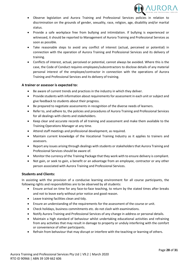

- Observe legislation and Aurora Training and Professional Services policies in relation to discrimination on the grounds of gender, sexuality, race, religion, age, disability and/or marital status.
- Provide a safe workplace free from bullying and intimidation. If bullying is experienced or witnessed, it should be reported to Management of Aurora Training and Professional Services as soon as possible.
- Take reasonable steps to avoid any conflict of interest (actual, perceived or potential) in connection with the operation of Aurora Training and Professional Services and its delivery of training.
- Conflicts of interest, actual, perceived or potential, cannot always be avoided. Where this is the case, the Code of Conduct requires employees/subcontractors to disclose details of any material personal interest of the employee/contractor in connection with the operations of Aurora Training and Professional Services and its delivery of training.

### <span id="page-28-0"></span>**A trainer or assessor is expected to:**

- Be aware of current trends and practices in the industry in which they deliver.
- Provide students with information about requirements for assessment in each unit or subject and give feedback to students about their progress.
- Be prepared to negotiate assessments in recognition of the diverse needs of learners.
- Refer to, and adhere to, the policies and procedures of Aurora Training and Professional Services for all dealings with clients and stakeholders.
- Keep clear and accurate records of all training and assessment and make them available to the Training Operations Manager at any time.
- Attend staff meetings and professional development, as required.
- Maintain current knowledge of the Vocational Training Industry as it applies to trainers and assessors.
- Report any issues arising through dealings with students or stakeholders that Aurora Training and Professional Services should be aware of.
- Monitor the currency of the Training Package that they work with to ensure delivery is compliant.
- Not gain, or seek to gain, a benefit or an advantage from an employee, contractor or any other person associated with Aurora Training and Professional Services.

### <span id="page-28-1"></span>**Students and Clients:**

In assisting with the provision of a conducive learning environment for all course participants, the following rights and responsibilities are to be observed by all students:

- Ensure arrival on time for any face-to-face teaching, to return by the stated times after breaks and not to leave early without prior notice and good reason.
- Leave training facilities clean and tidy.
- Ensure an understanding of the requirements for the assessment of the course or unit.
- Check holidays, business commitments etc. do not clash with examinations.
- Notify Aurora Training and Professional Services of any change in address or personal details.
- Maintain a high standard of behaviour whilst undertaking educational activities and refraining from any activities that may result in damage to property or unduly interfering with the comfort or convenience of other participants.
- Refrain from behaviour that may disrupt or interfere with the teaching or learning of others.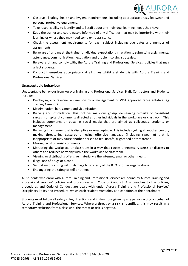

- Observe all safety, health and hygiene requirements, including appropriate dress, footwear and personal protective equipment.
- Take responsibility to identify and tell staff about any individual learning needs they have.
- Keep the trainer and coordinators informed of any difficulties that may be interfering with their learning or where they may need some extra assistance.
- Check the assessment requirements for each subject including due dates and number of assignments.
- Be aware of, and meet, the trainer's individual expectations in relation to submitting assignments, attendance, communication, negotiation and problem-solving strategies.
- Be aware of, and comply with, the Aurora Training and Professional Services' policies that may affect students.
- Conduct themselves appropriately at all times whilst a student is with Aurora Training and Professional Services.

### <span id="page-29-0"></span>**Unacceptable behaviour**

Unacceptable behaviour from Aurora Training and Professional Services Staff, Contractors and Students includes:

- Disobeying any reasonable direction by a management or WST approved representative (eg Trainer/Assessor)
- Discrimination, harassment and victimisation
- Bullying and intimidation. This includes malicious gossip, demeaning remarks or consistent sarcasm or spiteful comments directed at other individuals in the workplace or classroom. This includes comments or posts in social media that are aimed at colleagues, students or management.
- Behaving in a manner that is disruptive or unacceptable. This includes yelling at another person, making threatening gestures or using offensive language (including swearing) that is inappropriate or may cause another person to feel unsafe, frightened or threatened
- Making racist or sexist comments.
- Disrupting the workplace or classroom in a way that causes unnecessary stress or distress to others and reduces harmony within the workplace or classroom.
- Viewing or distributing offensive material via the internet, email or other means
- Illegal use of drugs or alcohol
- Vandalism or causing willful damage to property of the RTO or other organisations
- Endangering the safety of self or others

All students who enrol with Aurora Training and Professional Services are bound by Aurora Training and Professional Services' policies and procedures and Code of Conduct. Any breaches to the policies, procedures and Code of Conduct are dealt with under Aurora Training and Professional Services' Disciplinary Policy and Procedure, which each student must obey as a condition of their enrolment.

Students must follow all safety rules, directions and instructions given by any person acting on behalf of Aurora Training and Professional Services. Where a threat or a risk is identified, this may result in a temporary exclusion from a class until the threat or risk is negated.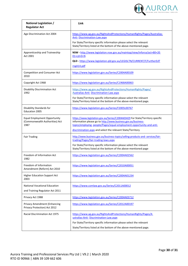

| National Legislation /<br><b>Regulator Act</b>                                | Link                                                                                                                                                                                                                    |
|-------------------------------------------------------------------------------|-------------------------------------------------------------------------------------------------------------------------------------------------------------------------------------------------------------------------|
| Age Discrimination Act 2004                                                   | https://www.ag.gov.au/RightsAndProtections/HumanRights/Pages/Australias-<br><b>Anti-Discrimination-Law.aspx</b>                                                                                                         |
|                                                                               | For State/Territory specific information please select the relevant<br>State/Territory listed at the bottom of the above-mentioned page.                                                                                |
| Apprenticeship and Traineeship<br>Act 2001                                    | NSW - http://www.legislation.nsw.gov.au/maintop/view/inforce/act+80+20<br>$01 + cd + 0 + N$                                                                                                                             |
|                                                                               | QLD - https://www.legislation.qld.gov.au/LEGISLTN/CURRENT/F/FurtherEdT<br>rngA14.pdf                                                                                                                                    |
| Competition and Consumer Act<br>2010                                          | https://www.legislation.gov.au/Series/C2004A00109                                                                                                                                                                       |
| Copyright Act 1968                                                            | https://www.legislation.gov.au/Series/C1968A00063                                                                                                                                                                       |
| Disability Discrimination Act<br>1992                                         | https://www.ag.gov.au/RightsAndProtections/HumanRights/Pages/<br>Australias-Anti-Discrimination-Law.aspx                                                                                                                |
|                                                                               | For State/Territory specific information please select the relevant<br>State/Territory listed at the bottom of the above-mentioned page.                                                                                |
| Disability Standards for<br><b>Education 2005</b>                             | https://www.legislation.gov.au/Series/F2005L00767                                                                                                                                                                       |
| <b>Equal Employment Opportunity</b><br>(Commonwealth Authorities) Act<br>1987 | https://www.legislation.gov.au/Series/C2004A03429 For State/Territory specific<br>information please go to http://www.business.gov.au/business-<br>topics/employing-people/Pages/equal-employment-opportunity-and-anti- |
|                                                                               | discrimination.aspx and select the relevant State/Territory                                                                                                                                                             |
| <b>Fair Trading</b>                                                           | http://www.business.gov.au/business-topics/selling-products-and-services/fair-<br>trading/Pages/fair-trading-laws.aspx                                                                                                  |
|                                                                               | For State/Territory specific information please select the relevant<br>State/Territory listed at the bottom of the above-mentioned page                                                                                 |
| Freedom of Information Act<br>1982                                            | https://www.legislation.gov.au/Series/C2004A02562                                                                                                                                                                       |
| Freedom of Information<br>Amendment (Reform) Act 2010                         | https://www.legislation.gov.au/Series/C2010A00051                                                                                                                                                                       |
| <b>Higher Education Support Act</b><br>2003                                   | https://www.legislation.gov.au/Series/C2004A01234                                                                                                                                                                       |
| <b>National Vocational Education</b><br>and Training Regulator Act 2011       | https://www.comlaw.gov.au/Series/C2011A00012                                                                                                                                                                            |
| Privacy Act 1988                                                              | https://www.legislation.gov.au/Series/C2004A03712                                                                                                                                                                       |
| Privacy Amendment (Enhancing                                                  | https://www.legislation.gov.au/Series/C2012A00197                                                                                                                                                                       |
| Privacy Protection) Act 2012                                                  |                                                                                                                                                                                                                         |
| Racial Discrimination Act 1975                                                | https://www.ag.gov.au/RightsAndProtections/HumanRights/Pages/A<br>ustralias-Anti- Discrimination-Law.aspx                                                                                                               |
|                                                                               | For State/Territory specific information please select the relevant                                                                                                                                                     |
|                                                                               | State/Territory listed at the bottom of the above-mentioned page.                                                                                                                                                       |